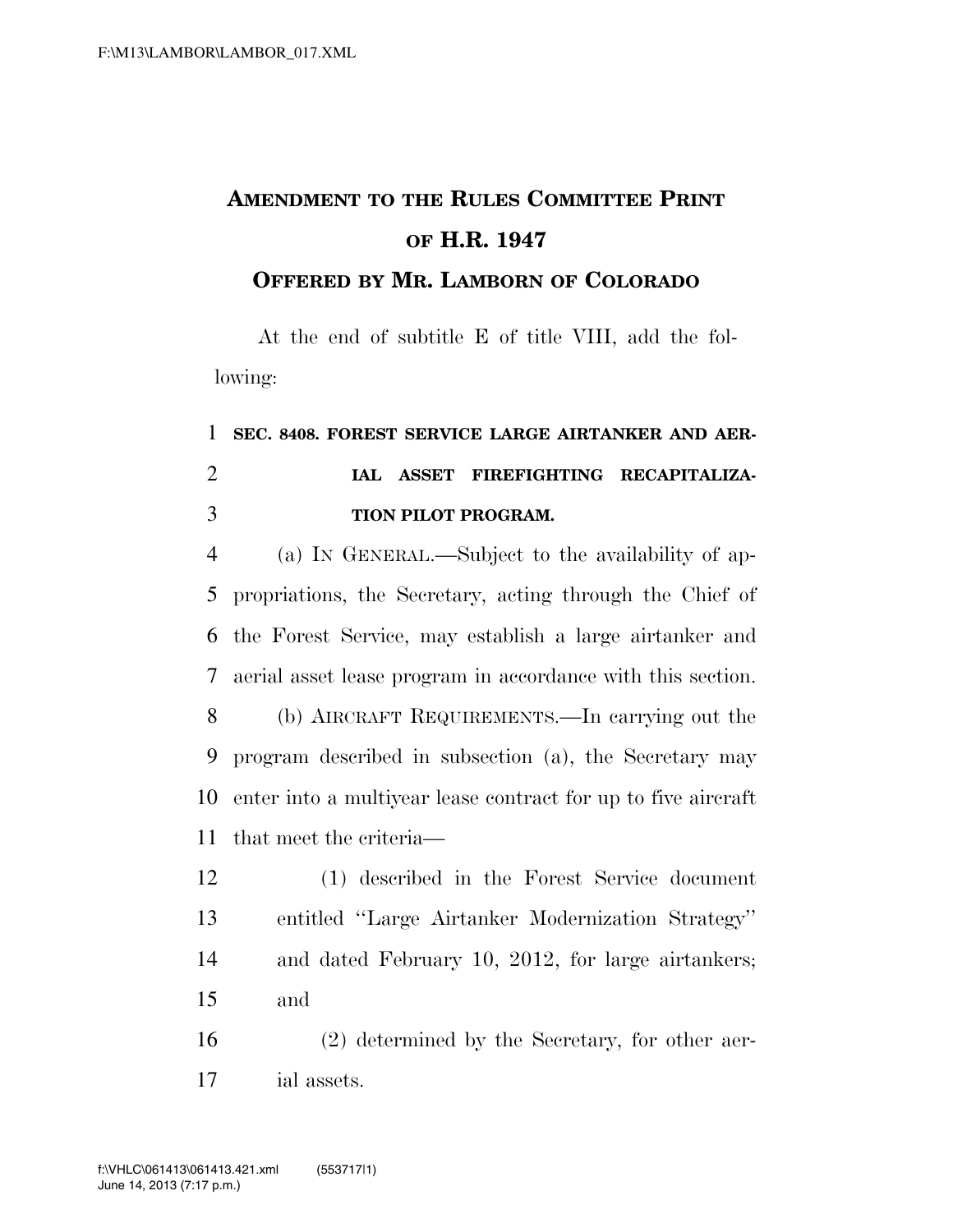## **AMENDMENT TO THE RULES COMMITTEE PRINT OF H.R. 1947**

**OFFERED BY MR. LAMBORN OF COLORADO**

At the end of subtitle E of title VIII, add the following:

## **SEC. 8408. FOREST SERVICE LARGE AIRTANKER AND AER- IAL ASSET FIREFIGHTING RECAPITALIZA-TION PILOT PROGRAM.**

 (a) IN GENERAL.—Subject to the availability of ap- propriations, the Secretary, acting through the Chief of the Forest Service, may establish a large airtanker and aerial asset lease program in accordance with this section.

 (b) AIRCRAFT REQUIREMENTS.—In carrying out the program described in subsection (a), the Secretary may enter into a multiyear lease contract for up to five aircraft that meet the criteria—

 (1) described in the Forest Service document entitled ''Large Airtanker Modernization Strategy'' and dated February 10, 2012, for large airtankers; and

 (2) determined by the Secretary, for other aer-ial assets.